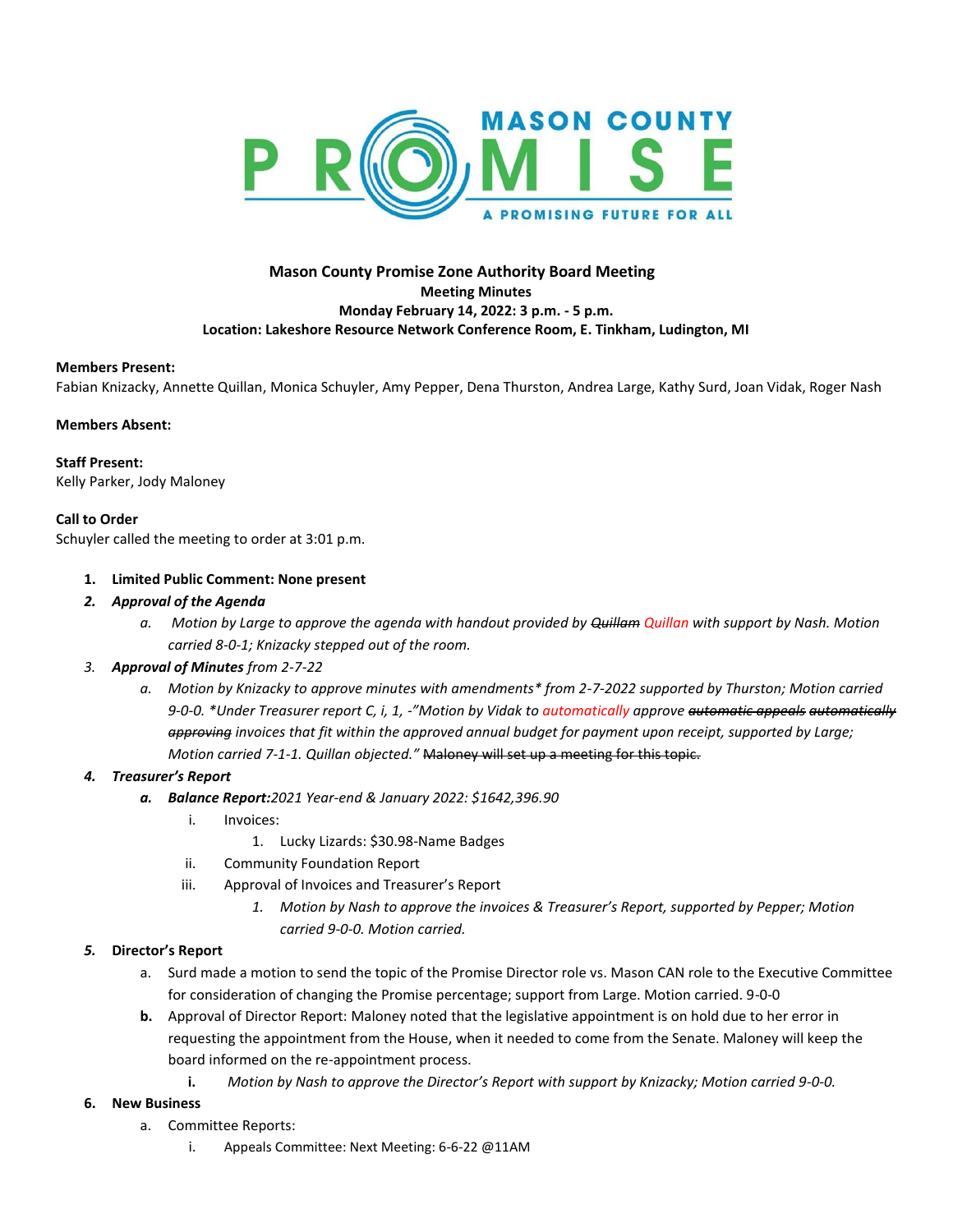

## **Mason County Promise Zone Authority Board Meeting Meeting Minutes Monday February 14, 2022: 3 p.m. - 5 p.m. Location: Lakeshore Resource Network Conference Room, E. Tinkham, Ludington, MI**

#### **Members Present:**

Fabian Knizacky, Annette Quillan, Monica Schuyler, Amy Pepper, Dena Thurston, Andrea Large, Kathy Surd, Joan Vidak, Roger Nash

#### **Members Absent:**

**Staff Present:**  Kelly Parker, Jody Maloney

#### **Call to Order**

Schuyler called the meeting to order at 3:01 p.m.

#### **1. Limited Public Comment: None present**

- *2. Approval of the Agenda*
	- *a. Motion by Large to approve the agenda with handout provided by Quillam Quillan with support by Nash. Motion carried 8-0-1; Knizacky stepped out of the room.*

## *3. Approval of Minutes from 2-7-22*

*a. Motion by Knizacky to approve minutes with amendments\* from 2-7-2022 supported by Thurston; Motion carried 9-0-0. \*Under Treasurer report C, i, 1, -"Motion by Vidak to automatically approve automatic appeals automatically approving invoices that fit within the approved annual budget for payment upon receipt, supported by Large; Motion carried 7-1-1. Quillan objected."* Maloney will set up a meeting for this topic.

## *4. Treasurer's Report*

- *a. Balance Report:2021 Year-end & January 2022: \$1642,396.90*
	- i. Invoices:
		- 1. Lucky Lizards: \$30.98-Name Badges
	- ii. Community Foundation Report
	- iii. Approval of Invoices and Treasurer's Report
		- *1. Motion by Nash to approve the invoices & Treasurer's Report, supported by Pepper; Motion carried 9-0-0. Motion carried.*

## *5.* **Director's Report**

- a. Surd made a motion to send the topic of the Promise Director role vs. Mason CAN role to the Executive Committee for consideration of changing the Promise percentage; support from Large. Motion carried. 9-0-0
- **b.** Approval of Director Report: Maloney noted that the legislative appointment is on hold due to her error in requesting the appointment from the House, when it needed to come from the Senate. Maloney will keep the board informed on the re-appointment process.
	- **i.** *Motion by Nash to approve the Director's Report with support by Knizacky; Motion carried 9-0-0.*

## **6. New Business**

- a. Committee Reports:
	- i. Appeals Committee: Next Meeting: 6-6-22 @11AM